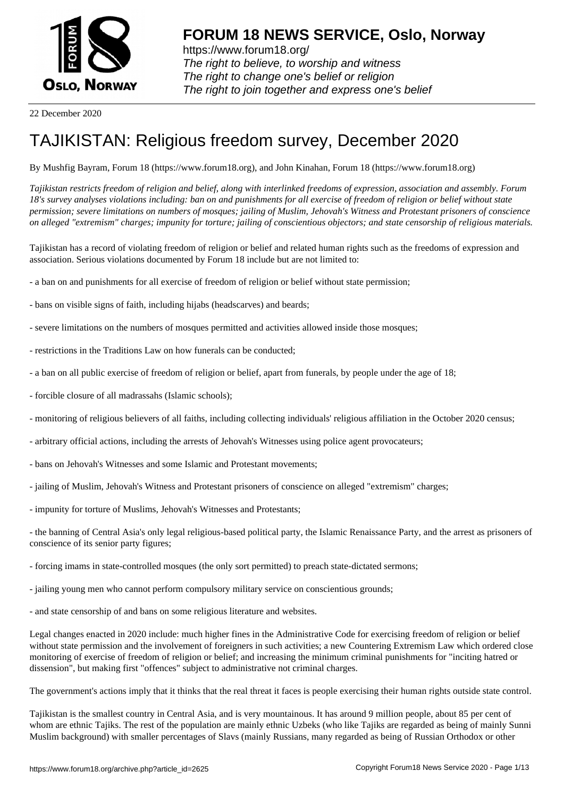

22 December 2020

# [TAJIKISTAN: R](https://www.forum18.org)eligious freedom survey, December 2020

By Mushfig Bayram, Forum 18 (https://www.forum18.org), and John Kinahan, Forum 18 (https://www.forum18.org)

*Tajikistan restricts freedom of religion and belief, along with interlinked freedoms of expression, association and assembly. Forum 18's survey analyses violations including: ban on and punishments for all exercise of freedom of religion or belief without state permission; severe limitations on numbers of mosques; jailing of Muslim, Jehovah's Witness and Protestant prisoners of conscience on alleged "extremism" charges; impunity for torture; jailing of conscientious objectors; and state censorship of religious materials.*

Tajikistan has a record of violating freedom of religion or belief and related human rights such as the freedoms of expression and association. Serious violations documented by Forum 18 include but are not limited to:

- a ban on and punishments for all exercise of freedom of religion or belief without state permission;
- bans on visible signs of faith, including hijabs (headscarves) and beards;
- severe limitations on the numbers of mosques permitted and activities allowed inside those mosques;
- restrictions in the Traditions Law on how funerals can be conducted;
- a ban on all public exercise of freedom of religion or belief, apart from funerals, by people under the age of 18;
- forcible closure of all madrassahs (Islamic schools);
- monitoring of religious believers of all faiths, including collecting individuals' religious affiliation in the October 2020 census;
- arbitrary official actions, including the arrests of Jehovah's Witnesses using police agent provocateurs;
- bans on Jehovah's Witnesses and some Islamic and Protestant movements;
- jailing of Muslim, Jehovah's Witness and Protestant prisoners of conscience on alleged "extremism" charges;
- impunity for torture of Muslims, Jehovah's Witnesses and Protestants;

- the banning of Central Asia's only legal religious-based political party, the Islamic Renaissance Party, and the arrest as prisoners of conscience of its senior party figures;

- forcing imams in state-controlled mosques (the only sort permitted) to preach state-dictated sermons;
- jailing young men who cannot perform compulsory military service on conscientious grounds;
- and state censorship of and bans on some religious literature and websites.

Legal changes enacted in 2020 include: much higher fines in the Administrative Code for exercising freedom of religion or belief without state permission and the involvement of foreigners in such activities; a new Countering Extremism Law which ordered close monitoring of exercise of freedom of religion or belief; and increasing the minimum criminal punishments for "inciting hatred or dissension", but making first "offences" subject to administrative not criminal charges.

The government's actions imply that it thinks that the real threat it faces is people exercising their human rights outside state control.

Tajikistan is the smallest country in Central Asia, and is very mountainous. It has around 9 million people, about 85 per cent of whom are ethnic Tajiks. The rest of the population are mainly ethnic Uzbeks (who like Tajiks are regarded as being of mainly Sunni Muslim background) with smaller percentages of Slavs (mainly Russians, many regarded as being of Russian Orthodox or other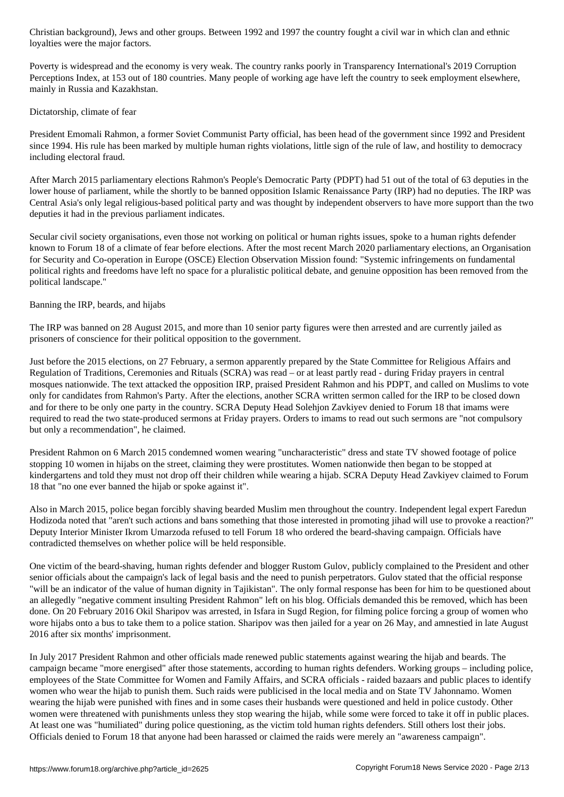#### loyalties were the major factors.

Poverty is widespread and the economy is very weak. The country ranks poorly in Transparency International's 2019 Corruption Perceptions Index, at 153 out of 180 countries. Many people of working age have left the country to seek employment elsewhere, mainly in Russia and Kazakhstan.

# Dictatorship, climate of fear

President Emomali Rahmon, a former Soviet Communist Party official, has been head of the government since 1992 and President since 1994. His rule has been marked by multiple human rights violations, little sign of the rule of law, and hostility to democracy including electoral fraud.

After March 2015 parliamentary elections Rahmon's People's Democratic Party (PDPT) had 51 out of the total of 63 deputies in the lower house of parliament, while the shortly to be banned opposition Islamic Renaissance Party (IRP) had no deputies. The IRP was Central Asia's only legal religious-based political party and was thought by independent observers to have more support than the two deputies it had in the previous parliament indicates.

Secular civil society organisations, even those not working on political or human rights issues, spoke to a human rights defender known to Forum 18 of a climate of fear before elections. After the most recent March 2020 parliamentary elections, an Organisation for Security and Co-operation in Europe (OSCE) Election Observation Mission found: "Systemic infringements on fundamental political rights and freedoms have left no space for a pluralistic political debate, and genuine opposition has been removed from the political landscape."

# Banning the IRP, beards, and hijabs

The IRP was banned on 28 August 2015, and more than 10 senior party figures were then arrested and are currently jailed as prisoners of conscience for their political opposition to the government.

Just before the 2015 elections, on 27 February, a sermon apparently prepared by the State Committee for Religious Affairs and Regulation of Traditions, Ceremonies and Rituals (SCRA) was read – or at least partly read - during Friday prayers in central mosques nationwide. The text attacked the opposition IRP, praised President Rahmon and his PDPT, and called on Muslims to vote only for candidates from Rahmon's Party. After the elections, another SCRA written sermon called for the IRP to be closed down and for there to be only one party in the country. SCRA Deputy Head Solehjon Zavkiyev denied to Forum 18 that imams were required to read the two state-produced sermons at Friday prayers. Orders to imams to read out such sermons are "not compulsory but only a recommendation", he claimed.

President Rahmon on 6 March 2015 condemned women wearing "uncharacteristic" dress and state TV showed footage of police stopping 10 women in hijabs on the street, claiming they were prostitutes. Women nationwide then began to be stopped at kindergartens and told they must not drop off their children while wearing a hijab. SCRA Deputy Head Zavkiyev claimed to Forum 18 that "no one ever banned the hijab or spoke against it".

Also in March 2015, police began forcibly shaving bearded Muslim men throughout the country. Independent legal expert Faredun Hodizoda noted that "aren't such actions and bans something that those interested in promoting jihad will use to provoke a reaction?" Deputy Interior Minister Ikrom Umarzoda refused to tell Forum 18 who ordered the beard-shaving campaign. Officials have contradicted themselves on whether police will be held responsible.

One victim of the beard-shaving, human rights defender and blogger Rustom Gulov, publicly complained to the President and other senior officials about the campaign's lack of legal basis and the need to punish perpetrators. Gulov stated that the official response "will be an indicator of the value of human dignity in Tajikistan". The only formal response has been for him to be questioned about an allegedly "negative comment insulting President Rahmon" left on his blog. Officials demanded this be removed, which has been done. On 20 February 2016 Okil Sharipov was arrested, in Isfara in Sugd Region, for filming police forcing a group of women who wore hijabs onto a bus to take them to a police station. Sharipov was then jailed for a year on 26 May, and amnestied in late August 2016 after six months' imprisonment.

In July 2017 President Rahmon and other officials made renewed public statements against wearing the hijab and beards. The campaign became "more energised" after those statements, according to human rights defenders. Working groups – including police, employees of the State Committee for Women and Family Affairs, and SCRA officials - raided bazaars and public places to identify women who wear the hijab to punish them. Such raids were publicised in the local media and on State TV Jahonnamo. Women wearing the hijab were punished with fines and in some cases their husbands were questioned and held in police custody. Other women were threatened with punishments unless they stop wearing the hijab, while some were forced to take it off in public places. At least one was "humiliated" during police questioning, as the victim told human rights defenders. Still others lost their jobs. Officials denied to Forum 18 that anyone had been harassed or claimed the raids were merely an "awareness campaign".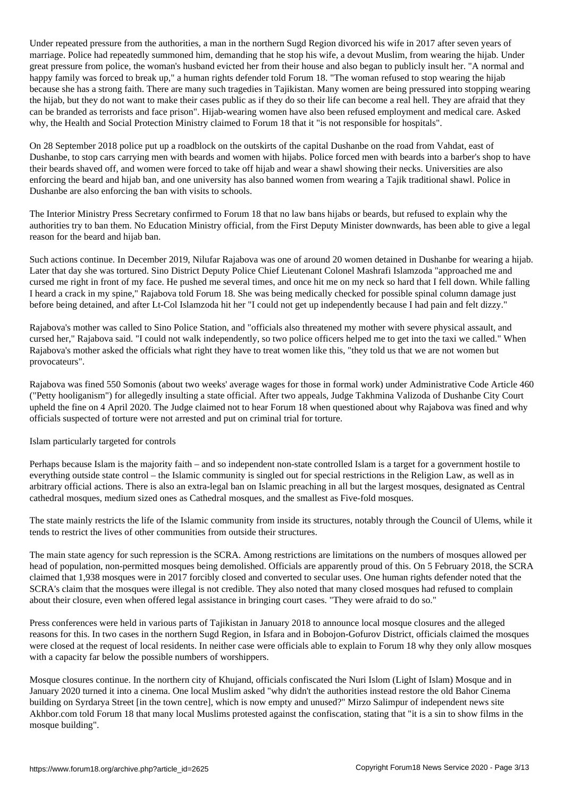Under repeated pressure from the authorities, a man in the northern Sugd Region divorced his wife in 2017 after seven years of marriage. Police had repeatedly summoned him, demanding that he stop his wife, a devout Muslim, from wearing the hijab. Under great pressure from police, the woman's husband evicted her from their house and also began to publicly insult her. "A normal and happy family was forced to break up," a human rights defender told Forum 18. "The woman refused to stop wearing the hijab because she has a strong faith. There are many such tragedies in Tajikistan. Many women are being pressured into stopping wearing the hijab, but they do not want to make their cases public as if they do so their life can become a real hell. They are afraid that they can be branded as terrorists and face prison". Hijab-wearing women have also been refused employment and medical care. Asked why, the Health and Social Protection Ministry claimed to Forum 18 that it "is not responsible for hospitals".

On 28 September 2018 police put up a roadblock on the outskirts of the capital Dushanbe on the road from Vahdat, east of Dushanbe, to stop cars carrying men with beards and women with hijabs. Police forced men with beards into a barber's shop to have their beards shaved off, and women were forced to take off hijab and wear a shawl showing their necks. Universities are also enforcing the beard and hijab ban, and one university has also banned women from wearing a Tajik traditional shawl. Police in Dushanbe are also enforcing the ban with visits to schools.

The Interior Ministry Press Secretary confirmed to Forum 18 that no law bans hijabs or beards, but refused to explain why the authorities try to ban them. No Education Ministry official, from the First Deputy Minister downwards, has been able to give a legal reason for the beard and hijab ban.

Such actions continue. In December 2019, Nilufar Rajabova was one of around 20 women detained in Dushanbe for wearing a hijab. Later that day she was tortured. Sino District Deputy Police Chief Lieutenant Colonel Mashrafi Islamzoda "approached me and cursed me right in front of my face. He pushed me several times, and once hit me on my neck so hard that I fell down. While falling I heard a crack in my spine," Rajabova told Forum 18. She was being medically checked for possible spinal column damage just before being detained, and after Lt-Col Islamzoda hit her "I could not get up independently because I had pain and felt dizzy."

Rajabova's mother was called to Sino Police Station, and "officials also threatened my mother with severe physical assault, and cursed her," Rajabova said. "I could not walk independently, so two police officers helped me to get into the taxi we called." When Rajabova's mother asked the officials what right they have to treat women like this, "they told us that we are not women but provocateurs".

Rajabova was fined 550 Somonis (about two weeks' average wages for those in formal work) under Administrative Code Article 460 ("Petty hooliganism") for allegedly insulting a state official. After two appeals, Judge Takhmina Valizoda of Dushanbe City Court upheld the fine on 4 April 2020. The Judge claimed not to hear Forum 18 when questioned about why Rajabova was fined and why officials suspected of torture were not arrested and put on criminal trial for torture.

Islam particularly targeted for controls

Perhaps because Islam is the majority faith – and so independent non-state controlled Islam is a target for a government hostile to everything outside state control – the Islamic community is singled out for special restrictions in the Religion Law, as well as in arbitrary official actions. There is also an extra-legal ban on Islamic preaching in all but the largest mosques, designated as Central cathedral mosques, medium sized ones as Cathedral mosques, and the smallest as Five-fold mosques.

The state mainly restricts the life of the Islamic community from inside its structures, notably through the Council of Ulems, while it tends to restrict the lives of other communities from outside their structures.

The main state agency for such repression is the SCRA. Among restrictions are limitations on the numbers of mosques allowed per head of population, non-permitted mosques being demolished. Officials are apparently proud of this. On 5 February 2018, the SCRA claimed that 1,938 mosques were in 2017 forcibly closed and converted to secular uses. One human rights defender noted that the SCRA's claim that the mosques were illegal is not credible. They also noted that many closed mosques had refused to complain about their closure, even when offered legal assistance in bringing court cases. "They were afraid to do so."

Press conferences were held in various parts of Tajikistan in January 2018 to announce local mosque closures and the alleged reasons for this. In two cases in the northern Sugd Region, in Isfara and in Bobojon-Gofurov District, officials claimed the mosques were closed at the request of local residents. In neither case were officials able to explain to Forum 18 why they only allow mosques with a capacity far below the possible numbers of worshippers.

Mosque closures continue. In the northern city of Khujand, officials confiscated the Nuri Islom (Light of Islam) Mosque and in January 2020 turned it into a cinema. One local Muslim asked "why didn't the authorities instead restore the old Bahor Cinema building on Syrdarya Street [in the town centre], which is now empty and unused?" Mirzo Salimpur of independent news site Akhbor.com told Forum 18 that many local Muslims protested against the confiscation, stating that "it is a sin to show films in the mosque building".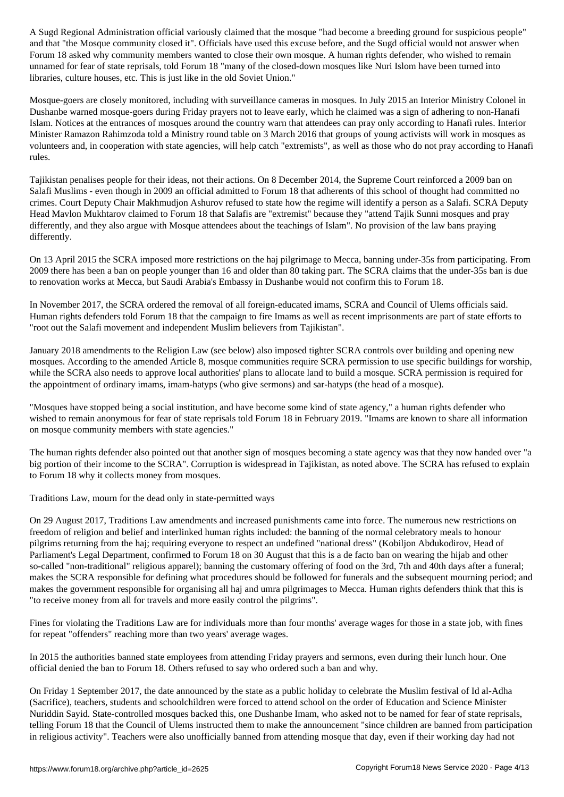and that Mosque community community closed it this excuse before, and the Sugad of Indian would not an answer w Forum 18 asked why community members wanted to close their own mosque. A human rights defender, who wished to remain unnamed for fear of state reprisals, told Forum 18 "many of the closed-down mosques like Nuri Islom have been turned into libraries, culture houses, etc. This is just like in the old Soviet Union."

Mosque-goers are closely monitored, including with surveillance cameras in mosques. In July 2015 an Interior Ministry Colonel in Dushanbe warned mosque-goers during Friday prayers not to leave early, which he claimed was a sign of adhering to non-Hanafi Islam. Notices at the entrances of mosques around the country warn that attendees can pray only according to Hanafi rules. Interior Minister Ramazon Rahimzoda told a Ministry round table on 3 March 2016 that groups of young activists will work in mosques as volunteers and, in cooperation with state agencies, will help catch "extremists", as well as those who do not pray according to Hanafi rules.

Tajikistan penalises people for their ideas, not their actions. On 8 December 2014, the Supreme Court reinforced a 2009 ban on Salafi Muslims - even though in 2009 an official admitted to Forum 18 that adherents of this school of thought had committed no crimes. Court Deputy Chair Makhmudjon Ashurov refused to state how the regime will identify a person as a Salafi. SCRA Deputy Head Mavlon Mukhtarov claimed to Forum 18 that Salafis are "extremist" because they "attend Tajik Sunni mosques and pray differently, and they also argue with Mosque attendees about the teachings of Islam". No provision of the law bans praying differently.

On 13 April 2015 the SCRA imposed more restrictions on the haj pilgrimage to Mecca, banning under-35s from participating. From 2009 there has been a ban on people younger than 16 and older than 80 taking part. The SCRA claims that the under-35s ban is due to renovation works at Mecca, but Saudi Arabia's Embassy in Dushanbe would not confirm this to Forum 18.

In November 2017, the SCRA ordered the removal of all foreign-educated imams, SCRA and Council of Ulems officials said. Human rights defenders told Forum 18 that the campaign to fire Imams as well as recent imprisonments are part of state efforts to "root out the Salafi movement and independent Muslim believers from Tajikistan".

January 2018 amendments to the Religion Law (see below) also imposed tighter SCRA controls over building and opening new mosques. According to the amended Article 8, mosque communities require SCRA permission to use specific buildings for worship, while the SCRA also needs to approve local authorities' plans to allocate land to build a mosque. SCRA permission is required for the appointment of ordinary imams, imam-hatyps (who give sermons) and sar-hatyps (the head of a mosque).

"Mosques have stopped being a social institution, and have become some kind of state agency," a human rights defender who wished to remain anonymous for fear of state reprisals told Forum 18 in February 2019. "Imams are known to share all information on mosque community members with state agencies."

The human rights defender also pointed out that another sign of mosques becoming a state agency was that they now handed over "a big portion of their income to the SCRA". Corruption is widespread in Tajikistan, as noted above. The SCRA has refused to explain to Forum 18 why it collects money from mosques.

Traditions Law, mourn for the dead only in state-permitted ways

On 29 August 2017, Traditions Law amendments and increased punishments came into force. The numerous new restrictions on freedom of religion and belief and interlinked human rights included: the banning of the normal celebratory meals to honour pilgrims returning from the haj; requiring everyone to respect an undefined "national dress" (Kobiljon Abdukodirov, Head of Parliament's Legal Department, confirmed to Forum 18 on 30 August that this is a de facto ban on wearing the hijab and other so-called "non-traditional" religious apparel); banning the customary offering of food on the 3rd, 7th and 40th days after a funeral; makes the SCRA responsible for defining what procedures should be followed for funerals and the subsequent mourning period; and makes the government responsible for organising all haj and umra pilgrimages to Mecca. Human rights defenders think that this is "to receive money from all for travels and more easily control the pilgrims".

Fines for violating the Traditions Law are for individuals more than four months' average wages for those in a state job, with fines for repeat "offenders" reaching more than two years' average wages.

In 2015 the authorities banned state employees from attending Friday prayers and sermons, even during their lunch hour. One official denied the ban to Forum 18. Others refused to say who ordered such a ban and why.

On Friday 1 September 2017, the date announced by the state as a public holiday to celebrate the Muslim festival of Id al-Adha (Sacrifice), teachers, students and schoolchildren were forced to attend school on the order of Education and Science Minister Nuriddin Sayid. State-controlled mosques backed this, one Dushanbe Imam, who asked not to be named for fear of state reprisals, telling Forum 18 that the Council of Ulems instructed them to make the announcement "since children are banned from participation in religious activity". Teachers were also unofficially banned from attending mosque that day, even if their working day had not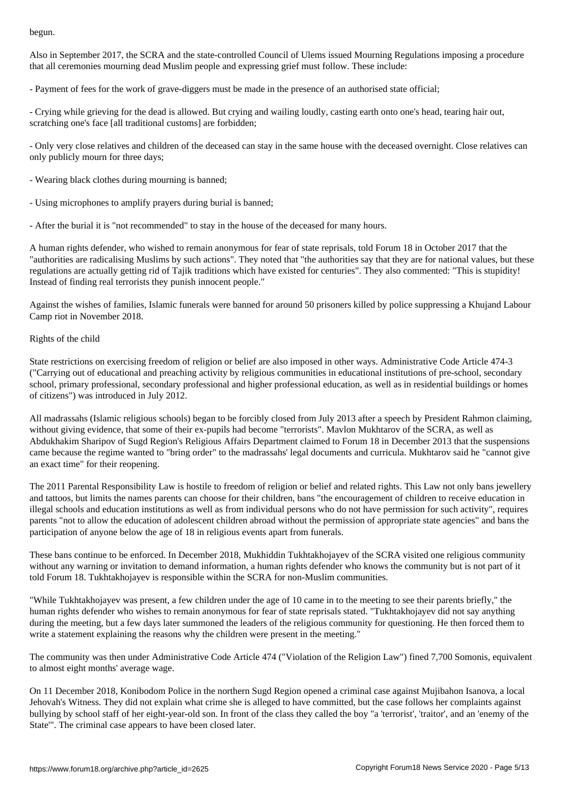Also in September 2017, the SCRA and the state-controlled Council of Ulems issued Mourning Regulations imposing a procedure that all ceremonies mourning dead Muslim people and expressing grief must follow. These include:

- Payment of fees for the work of grave-diggers must be made in the presence of an authorised state official;

- Crying while grieving for the dead is allowed. But crying and wailing loudly, casting earth onto one's head, tearing hair out, scratching one's face [all traditional customs] are forbidden;

- Only very close relatives and children of the deceased can stay in the same house with the deceased overnight. Close relatives can only publicly mourn for three days;

- Wearing black clothes during mourning is banned;

- Using microphones to amplify prayers during burial is banned;

- After the burial it is "not recommended" to stay in the house of the deceased for many hours.

A human rights defender, who wished to remain anonymous for fear of state reprisals, told Forum 18 in October 2017 that the "authorities are radicalising Muslims by such actions". They noted that "the authorities say that they are for national values, but these regulations are actually getting rid of Tajik traditions which have existed for centuries". They also commented: "This is stupidity! Instead of finding real terrorists they punish innocent people."

Against the wishes of families, Islamic funerals were banned for around 50 prisoners killed by police suppressing a Khujand Labour Camp riot in November 2018.

# Rights of the child

State restrictions on exercising freedom of religion or belief are also imposed in other ways. Administrative Code Article 474-3 ("Carrying out of educational and preaching activity by religious communities in educational institutions of pre-school, secondary school, primary professional, secondary professional and higher professional education, as well as in residential buildings or homes of citizens") was introduced in July 2012.

All madrassahs (Islamic religious schools) began to be forcibly closed from July 2013 after a speech by President Rahmon claiming, without giving evidence, that some of their ex-pupils had become "terrorists". Mavlon Mukhtarov of the SCRA, as well as Abdukhakim Sharipov of Sugd Region's Religious Affairs Department claimed to Forum 18 in December 2013 that the suspensions came because the regime wanted to "bring order" to the madrassahs' legal documents and curricula. Mukhtarov said he "cannot give an exact time" for their reopening.

The 2011 Parental Responsibility Law is hostile to freedom of religion or belief and related rights. This Law not only bans jewellery and tattoos, but limits the names parents can choose for their children, bans "the encouragement of children to receive education in illegal schools and education institutions as well as from individual persons who do not have permission for such activity", requires parents "not to allow the education of adolescent children abroad without the permission of appropriate state agencies" and bans the participation of anyone below the age of 18 in religious events apart from funerals.

These bans continue to be enforced. In December 2018, Mukhiddin Tukhtakhojayev of the SCRA visited one religious community without any warning or invitation to demand information, a human rights defender who knows the community but is not part of it told Forum 18. Tukhtakhojayev is responsible within the SCRA for non-Muslim communities.

"While Tukhtakhojayev was present, a few children under the age of 10 came in to the meeting to see their parents briefly," the human rights defender who wishes to remain anonymous for fear of state reprisals stated. "Tukhtakhojayev did not say anything during the meeting, but a few days later summoned the leaders of the religious community for questioning. He then forced them to write a statement explaining the reasons why the children were present in the meeting."

The community was then under Administrative Code Article 474 ("Violation of the Religion Law") fined 7,700 Somonis, equivalent to almost eight months' average wage.

On 11 December 2018, Konibodom Police in the northern Sugd Region opened a criminal case against Mujibahon Isanova, a local Jehovah's Witness. They did not explain what crime she is alleged to have committed, but the case follows her complaints against bullying by school staff of her eight-year-old son. In front of the class they called the boy "a 'terrorist', 'traitor', and an 'enemy of the State'". The criminal case appears to have been closed later.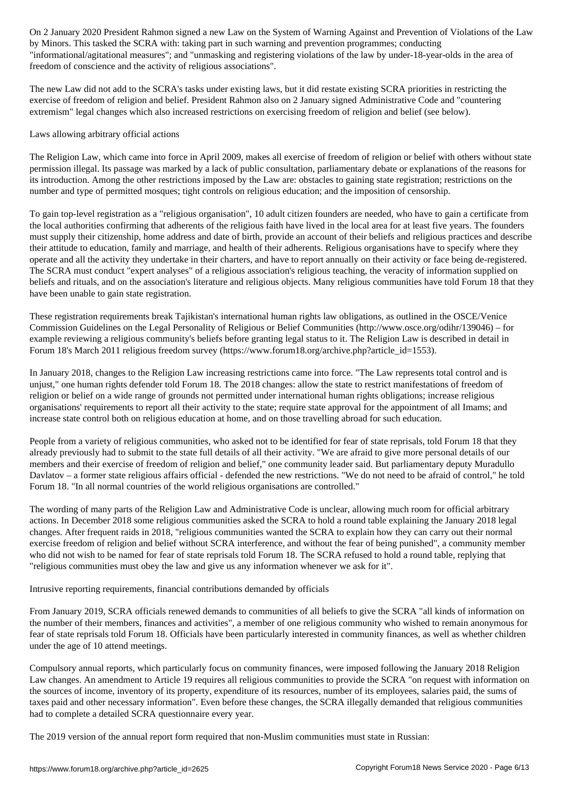by Minors. This tasked the SCRA with: taking part in such warning and prevention programmes; conducting "informational/agitational measures"; and "unmasking and registering violations of the law by under-18-year-olds in the area of freedom of conscience and the activity of religious associations".

The new Law did not add to the SCRA's tasks under existing laws, but it did restate existing SCRA priorities in restricting the exercise of freedom of religion and belief. President Rahmon also on 2 January signed Administrative Code and "countering extremism" legal changes which also increased restrictions on exercising freedom of religion and belief (see below).

# Laws allowing arbitrary official actions

The Religion Law, which came into force in April 2009, makes all exercise of freedom of religion or belief with others without state permission illegal. Its passage was marked by a lack of public consultation, parliamentary debate or explanations of the reasons for its introduction. Among the other restrictions imposed by the Law are: obstacles to gaining state registration; restrictions on the number and type of permitted mosques; tight controls on religious education; and the imposition of censorship.

To gain top-level registration as a "religious organisation", 10 adult citizen founders are needed, who have to gain a certificate from the local authorities confirming that adherents of the religious faith have lived in the local area for at least five years. The founders must supply their citizenship, home address and date of birth, provide an account of their beliefs and religious practices and describe their attitude to education, family and marriage, and health of their adherents. Religious organisations have to specify where they operate and all the activity they undertake in their charters, and have to report annually on their activity or face being de-registered. The SCRA must conduct "expert analyses" of a religious association's religious teaching, the veracity of information supplied on beliefs and rituals, and on the association's literature and religious objects. Many religious communities have told Forum 18 that they have been unable to gain state registration.

These registration requirements break Tajikistan's international human rights law obligations, as outlined in the OSCE/Venice Commission Guidelines on the Legal Personality of Religious or Belief Communities (http://www.osce.org/odihr/139046) – for example reviewing a religious community's beliefs before granting legal status to it. The Religion Law is described in detail in Forum 18's March 2011 religious freedom survey (https://www.forum18.org/archive.php?article\_id=1553).

In January 2018, changes to the Religion Law increasing restrictions came into force. "The Law represents total control and is unjust," one human rights defender told Forum 18. The 2018 changes: allow the state to restrict manifestations of freedom of religion or belief on a wide range of grounds not permitted under international human rights obligations; increase religious organisations' requirements to report all their activity to the state; require state approval for the appointment of all Imams; and increase state control both on religious education at home, and on those travelling abroad for such education.

People from a variety of religious communities, who asked not to be identified for fear of state reprisals, told Forum 18 that they already previously had to submit to the state full details of all their activity. "We are afraid to give more personal details of our members and their exercise of freedom of religion and belief," one community leader said. But parliamentary deputy Muradullo Davlatov – a former state religious affairs official - defended the new restrictions. "We do not need to be afraid of control," he told Forum 18. "In all normal countries of the world religious organisations are controlled."

The wording of many parts of the Religion Law and Administrative Code is unclear, allowing much room for official arbitrary actions. In December 2018 some religious communities asked the SCRA to hold a round table explaining the January 2018 legal changes. After frequent raids in 2018, "religious communities wanted the SCRA to explain how they can carry out their normal exercise freedom of religion and belief without SCRA interference, and without the fear of being punished", a community member who did not wish to be named for fear of state reprisals told Forum 18. The SCRA refused to hold a round table, replying that "religious communities must obey the law and give us any information whenever we ask for it".

# Intrusive reporting requirements, financial contributions demanded by officials

From January 2019, SCRA officials renewed demands to communities of all beliefs to give the SCRA "all kinds of information on the number of their members, finances and activities", a member of one religious community who wished to remain anonymous for fear of state reprisals told Forum 18. Officials have been particularly interested in community finances, as well as whether children under the age of 10 attend meetings.

Compulsory annual reports, which particularly focus on community finances, were imposed following the January 2018 Religion Law changes. An amendment to Article 19 requires all religious communities to provide the SCRA "on request with information on the sources of income, inventory of its property, expenditure of its resources, number of its employees, salaries paid, the sums of taxes paid and other necessary information". Even before these changes, the SCRA illegally demanded that religious communities had to complete a detailed SCRA questionnaire every year.

The 2019 version of the annual report form required that non-Muslim communities must state in Russian: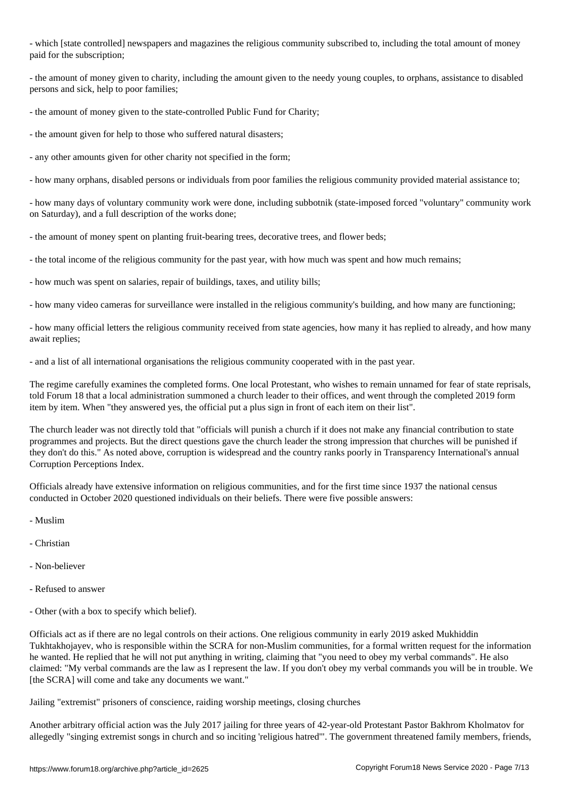- which [state controlled] newspapers and magazines the religious community subscribed to, including the total amount of money paid for the subscription;

- the amount of money given to charity, including the amount given to the needy young couples, to orphans, assistance to disabled persons and sick, help to poor families;

- the amount of money given to the state-controlled Public Fund for Charity;

- the amount given for help to those who suffered natural disasters;

- any other amounts given for other charity not specified in the form;

- how many orphans, disabled persons or individuals from poor families the religious community provided material assistance to;

- how many days of voluntary community work were done, including subbotnik (state-imposed forced "voluntary" community work on Saturday), and a full description of the works done;

- the amount of money spent on planting fruit-bearing trees, decorative trees, and flower beds;

- the total income of the religious community for the past year, with how much was spent and how much remains;

- how much was spent on salaries, repair of buildings, taxes, and utility bills;

- how many video cameras for surveillance were installed in the religious community's building, and how many are functioning;

- how many official letters the religious community received from state agencies, how many it has replied to already, and how many await replies;

- and a list of all international organisations the religious community cooperated with in the past year.

The regime carefully examines the completed forms. One local Protestant, who wishes to remain unnamed for fear of state reprisals, told Forum 18 that a local administration summoned a church leader to their offices, and went through the completed 2019 form item by item. When "they answered yes, the official put a plus sign in front of each item on their list".

The church leader was not directly told that "officials will punish a church if it does not make any financial contribution to state programmes and projects. But the direct questions gave the church leader the strong impression that churches will be punished if they don't do this." As noted above, corruption is widespread and the country ranks poorly in Transparency International's annual Corruption Perceptions Index.

Officials already have extensive information on religious communities, and for the first time since 1937 the national census conducted in October 2020 questioned individuals on their beliefs. There were five possible answers:

- Muslim
- Christian
- Non-believer
- Refused to answer
- Other (with a box to specify which belief).

Officials act as if there are no legal controls on their actions. One religious community in early 2019 asked Mukhiddin Tukhtakhojayev, who is responsible within the SCRA for non-Muslim communities, for a formal written request for the information he wanted. He replied that he will not put anything in writing, claiming that "you need to obey my verbal commands". He also claimed: "My verbal commands are the law as I represent the law. If you don't obey my verbal commands you will be in trouble. We [the SCRA] will come and take any documents we want."

Jailing "extremist" prisoners of conscience, raiding worship meetings, closing churches

Another arbitrary official action was the July 2017 jailing for three years of 42-year-old Protestant Pastor Bakhrom Kholmatov for allegedly "singing extremist songs in church and so inciting 'religious hatred'". The government threatened family members, friends,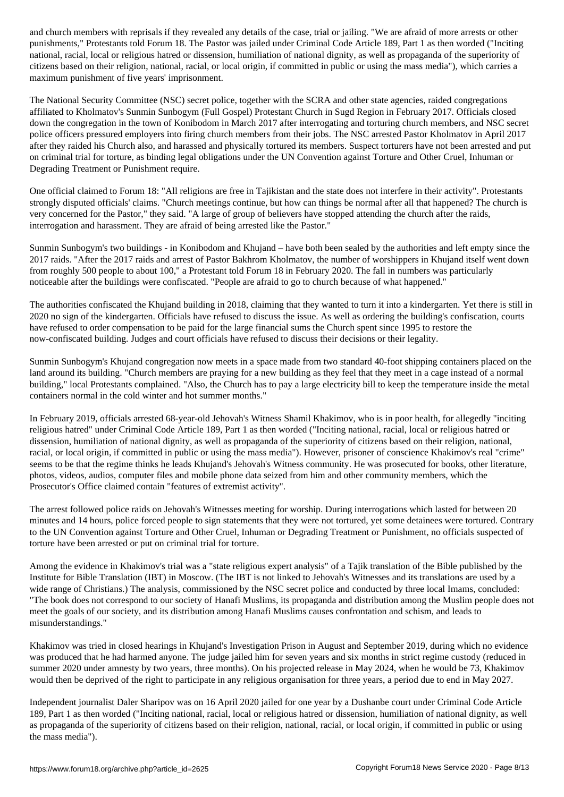punishments," Protestants told Forum 18. The Pastor was jailed under Criminal Code Article 189, Part 1 as then worded ("Inciting national, racial, local or religious hatred or dissension, humiliation of national dignity, as well as propaganda of the superiority of citizens based on their religion, national, racial, or local origin, if committed in public or using the mass media"), which carries a maximum punishment of five years' imprisonment.

The National Security Committee (NSC) secret police, together with the SCRA and other state agencies, raided congregations affiliated to Kholmatov's Sunmin Sunbogym (Full Gospel) Protestant Church in Sugd Region in February 2017. Officials closed down the congregation in the town of Konibodom in March 2017 after interrogating and torturing church members, and NSC secret police officers pressured employers into firing church members from their jobs. The NSC arrested Pastor Kholmatov in April 2017 after they raided his Church also, and harassed and physically tortured its members. Suspect torturers have not been arrested and put on criminal trial for torture, as binding legal obligations under the UN Convention against Torture and Other Cruel, Inhuman or Degrading Treatment or Punishment require.

One official claimed to Forum 18: "All religions are free in Tajikistan and the state does not interfere in their activity". Protestants strongly disputed officials' claims. "Church meetings continue, but how can things be normal after all that happened? The church is very concerned for the Pastor," they said. "A large of group of believers have stopped attending the church after the raids, interrogation and harassment. They are afraid of being arrested like the Pastor."

Sunmin Sunbogym's two buildings - in Konibodom and Khujand – have both been sealed by the authorities and left empty since the 2017 raids. "After the 2017 raids and arrest of Pastor Bakhrom Kholmatov, the number of worshippers in Khujand itself went down from roughly 500 people to about 100," a Protestant told Forum 18 in February 2020. The fall in numbers was particularly noticeable after the buildings were confiscated. "People are afraid to go to church because of what happened."

The authorities confiscated the Khujand building in 2018, claiming that they wanted to turn it into a kindergarten. Yet there is still in 2020 no sign of the kindergarten. Officials have refused to discuss the issue. As well as ordering the building's confiscation, courts have refused to order compensation to be paid for the large financial sums the Church spent since 1995 to restore the now-confiscated building. Judges and court officials have refused to discuss their decisions or their legality.

Sunmin Sunbogym's Khujand congregation now meets in a space made from two standard 40-foot shipping containers placed on the land around its building. "Church members are praying for a new building as they feel that they meet in a cage instead of a normal building," local Protestants complained. "Also, the Church has to pay a large electricity bill to keep the temperature inside the metal containers normal in the cold winter and hot summer months."

In February 2019, officials arrested 68-year-old Jehovah's Witness Shamil Khakimov, who is in poor health, for allegedly "inciting religious hatred" under Criminal Code Article 189, Part 1 as then worded ("Inciting national, racial, local or religious hatred or dissension, humiliation of national dignity, as well as propaganda of the superiority of citizens based on their religion, national, racial, or local origin, if committed in public or using the mass media"). However, prisoner of conscience Khakimov's real "crime" seems to be that the regime thinks he leads Khujand's Jehovah's Witness community. He was prosecuted for books, other literature, photos, videos, audios, computer files and mobile phone data seized from him and other community members, which the Prosecutor's Office claimed contain "features of extremist activity".

The arrest followed police raids on Jehovah's Witnesses meeting for worship. During interrogations which lasted for between 20 minutes and 14 hours, police forced people to sign statements that they were not tortured, yet some detainees were tortured. Contrary to the UN Convention against Torture and Other Cruel, Inhuman or Degrading Treatment or Punishment, no officials suspected of torture have been arrested or put on criminal trial for torture.

Among the evidence in Khakimov's trial was a "state religious expert analysis" of a Tajik translation of the Bible published by the Institute for Bible Translation (IBT) in Moscow. (The IBT is not linked to Jehovah's Witnesses and its translations are used by a wide range of Christians.) The analysis, commissioned by the NSC secret police and conducted by three local Imams, concluded: "The book does not correspond to our society of Hanafi Muslims, its propaganda and distribution among the Muslim people does not meet the goals of our society, and its distribution among Hanafi Muslims causes confrontation and schism, and leads to misunderstandings."

Khakimov was tried in closed hearings in Khujand's Investigation Prison in August and September 2019, during which no evidence was produced that he had harmed anyone. The judge jailed him for seven years and six months in strict regime custody (reduced in summer 2020 under amnesty by two years, three months). On his projected release in May 2024, when he would be 73, Khakimov would then be deprived of the right to participate in any religious organisation for three years, a period due to end in May 2027.

Independent journalist Daler Sharipov was on 16 April 2020 jailed for one year by a Dushanbe court under Criminal Code Article 189, Part 1 as then worded ("Inciting national, racial, local or religious hatred or dissension, humiliation of national dignity, as well as propaganda of the superiority of citizens based on their religion, national, racial, or local origin, if committed in public or using the mass media").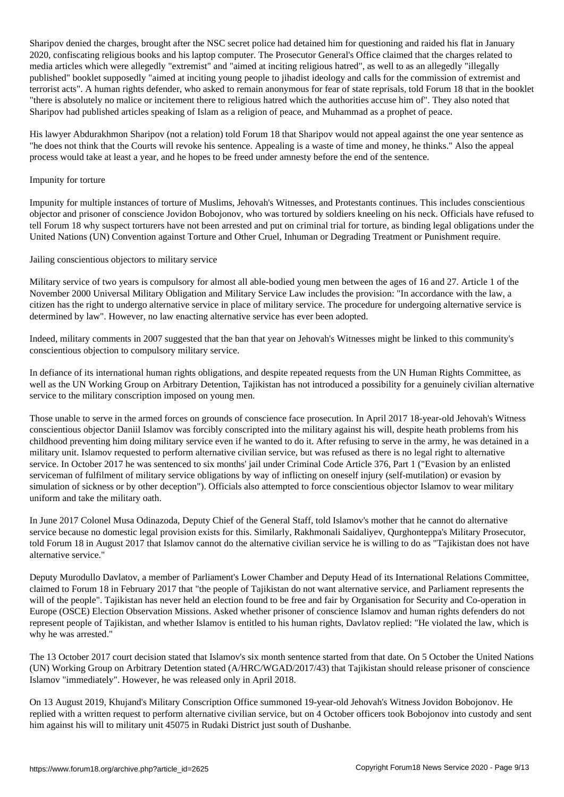Sharipov denied the charges, brought after the NSC secret police had detained him for questioning and raided his flat in January 2020, confiscating religious books and his laptop computer. The Prosecutor General's Office claimed that the charges related to media articles which were allegedly "extremist" and "aimed at inciting religious hatred", as well to as an allegedly "illegally published" booklet supposedly "aimed at inciting young people to jihadist ideology and calls for the commission of extremist and terrorist acts". A human rights defender, who asked to remain anonymous for fear of state reprisals, told Forum 18 that in the booklet "there is absolutely no malice or incitement there to religious hatred which the authorities accuse him of". They also noted that Sharipov had published articles speaking of Islam as a religion of peace, and Muhammad as a prophet of peace.

His lawyer Abdurakhmon Sharipov (not a relation) told Forum 18 that Sharipov would not appeal against the one year sentence as "he does not think that the Courts will revoke his sentence. Appealing is a waste of time and money, he thinks." Also the appeal process would take at least a year, and he hopes to be freed under amnesty before the end of the sentence.

#### Impunity for torture

Impunity for multiple instances of torture of Muslims, Jehovah's Witnesses, and Protestants continues. This includes conscientious objector and prisoner of conscience Jovidon Bobojonov, who was tortured by soldiers kneeling on his neck. Officials have refused to tell Forum 18 why suspect torturers have not been arrested and put on criminal trial for torture, as binding legal obligations under the United Nations (UN) Convention against Torture and Other Cruel, Inhuman or Degrading Treatment or Punishment require.

#### Jailing conscientious objectors to military service

Military service of two years is compulsory for almost all able-bodied young men between the ages of 16 and 27. Article 1 of the November 2000 Universal Military Obligation and Military Service Law includes the provision: "In accordance with the law, a citizen has the right to undergo alternative service in place of military service. The procedure for undergoing alternative service is determined by law". However, no law enacting alternative service has ever been adopted.

Indeed, military comments in 2007 suggested that the ban that year on Jehovah's Witnesses might be linked to this community's conscientious objection to compulsory military service.

In defiance of its international human rights obligations, and despite repeated requests from the UN Human Rights Committee, as well as the UN Working Group on Arbitrary Detention, Tajikistan has not introduced a possibility for a genuinely civilian alternative service to the military conscription imposed on young men.

Those unable to serve in the armed forces on grounds of conscience face prosecution. In April 2017 18-year-old Jehovah's Witness conscientious objector Daniil Islamov was forcibly conscripted into the military against his will, despite heath problems from his childhood preventing him doing military service even if he wanted to do it. After refusing to serve in the army, he was detained in a military unit. Islamov requested to perform alternative civilian service, but was refused as there is no legal right to alternative service. In October 2017 he was sentenced to six months' jail under Criminal Code Article 376, Part 1 ("Evasion by an enlisted serviceman of fulfilment of military service obligations by way of inflicting on oneself injury (self-mutilation) or evasion by simulation of sickness or by other deception"). Officials also attempted to force conscientious objector Islamov to wear military uniform and take the military oath.

In June 2017 Colonel Musa Odinazoda, Deputy Chief of the General Staff, told Islamov's mother that he cannot do alternative service because no domestic legal provision exists for this. Similarly, Rakhmonali Saidaliyev, Qurghonteppa's Military Prosecutor, told Forum 18 in August 2017 that Islamov cannot do the alternative civilian service he is willing to do as "Tajikistan does not have alternative service."

Deputy Murodullo Davlatov, a member of Parliament's Lower Chamber and Deputy Head of its International Relations Committee, claimed to Forum 18 in February 2017 that "the people of Tajikistan do not want alternative service, and Parliament represents the will of the people". Tajikistan has never held an election found to be free and fair by Organisation for Security and Co-operation in Europe (OSCE) Election Observation Missions. Asked whether prisoner of conscience Islamov and human rights defenders do not represent people of Tajikistan, and whether Islamov is entitled to his human rights, Davlatov replied: "He violated the law, which is why he was arrested."

The 13 October 2017 court decision stated that Islamov's six month sentence started from that date. On 5 October the United Nations (UN) Working Group on Arbitrary Detention stated (A/HRC/WGAD/2017/43) that Tajikistan should release prisoner of conscience Islamov "immediately". However, he was released only in April 2018.

On 13 August 2019, Khujand's Military Conscription Office summoned 19-year-old Jehovah's Witness Jovidon Bobojonov. He replied with a written request to perform alternative civilian service, but on 4 October officers took Bobojonov into custody and sent him against his will to military unit 45075 in Rudaki District just south of Dushanbe.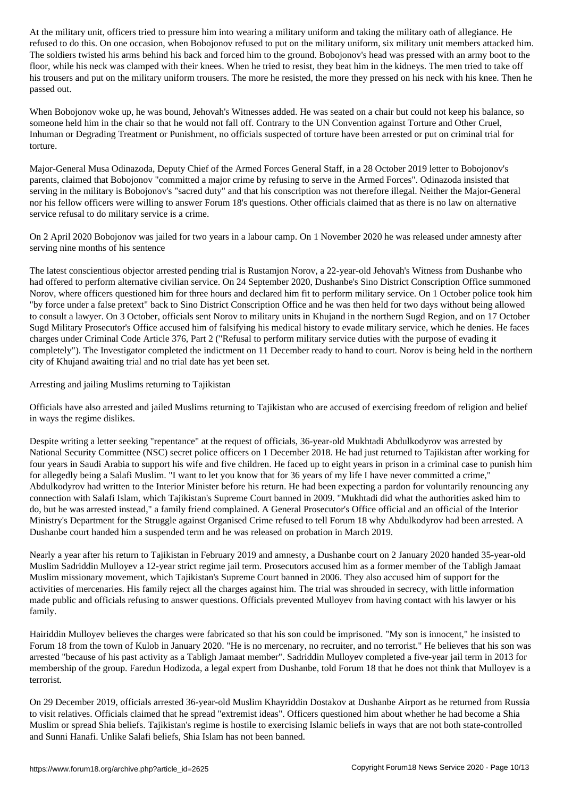refused to do this. On one occasion, when Bobojonov refused to put on the military uniform, six military unit members attacked him. The soldiers twisted his arms behind his back and forced him to the ground. Bobojonov's head was pressed with an army boot to the floor, while his neck was clamped with their knees. When he tried to resist, they beat him in the kidneys. The men tried to take off his trousers and put on the military uniform trousers. The more he resisted, the more they pressed on his neck with his knee. Then he passed out.

When Bobojonov woke up, he was bound, Jehovah's Witnesses added. He was seated on a chair but could not keep his balance, so someone held him in the chair so that he would not fall off. Contrary to the UN Convention against Torture and Other Cruel, Inhuman or Degrading Treatment or Punishment, no officials suspected of torture have been arrested or put on criminal trial for torture.

Major-General Musa Odinazoda, Deputy Chief of the Armed Forces General Staff, in a 28 October 2019 letter to Bobojonov's parents, claimed that Bobojonov "committed a major crime by refusing to serve in the Armed Forces". Odinazoda insisted that serving in the military is Bobojonov's "sacred duty" and that his conscription was not therefore illegal. Neither the Major-General nor his fellow officers were willing to answer Forum 18's questions. Other officials claimed that as there is no law on alternative service refusal to do military service is a crime.

On 2 April 2020 Bobojonov was jailed for two years in a labour camp. On 1 November 2020 he was released under amnesty after serving nine months of his sentence

The latest conscientious objector arrested pending trial is Rustamjon Norov, a 22-year-old Jehovah's Witness from Dushanbe who had offered to perform alternative civilian service. On 24 September 2020, Dushanbe's Sino District Conscription Office summoned Norov, where officers questioned him for three hours and declared him fit to perform military service. On 1 October police took him "by force under a false pretext" back to Sino District Conscription Office and he was then held for two days without being allowed to consult a lawyer. On 3 October, officials sent Norov to military units in Khujand in the northern Sugd Region, and on 17 October Sugd Military Prosecutor's Office accused him of falsifying his medical history to evade military service, which he denies. He faces charges under Criminal Code Article 376, Part 2 ("Refusal to perform military service duties with the purpose of evading it completely"). The Investigator completed the indictment on 11 December ready to hand to court. Norov is being held in the northern city of Khujand awaiting trial and no trial date has yet been set.

Arresting and jailing Muslims returning to Tajikistan

Officials have also arrested and jailed Muslims returning to Tajikistan who are accused of exercising freedom of religion and belief in ways the regime dislikes.

Despite writing a letter seeking "repentance" at the request of officials, 36-year-old Mukhtadi Abdulkodyrov was arrested by National Security Committee (NSC) secret police officers on 1 December 2018. He had just returned to Tajikistan after working for four years in Saudi Arabia to support his wife and five children. He faced up to eight years in prison in a criminal case to punish him for allegedly being a Salafi Muslim. "I want to let you know that for 36 years of my life I have never committed a crime," Abdulkodyrov had written to the Interior Minister before his return. He had been expecting a pardon for voluntarily renouncing any connection with Salafi Islam, which Tajikistan's Supreme Court banned in 2009. "Mukhtadi did what the authorities asked him to do, but he was arrested instead," a family friend complained. A General Prosecutor's Office official and an official of the Interior Ministry's Department for the Struggle against Organised Crime refused to tell Forum 18 why Abdulkodyrov had been arrested. A Dushanbe court handed him a suspended term and he was released on probation in March 2019.

Nearly a year after his return to Tajikistan in February 2019 and amnesty, a Dushanbe court on 2 January 2020 handed 35-year-old Muslim Sadriddin Mulloyev a 12-year strict regime jail term. Prosecutors accused him as a former member of the Tabligh Jamaat Muslim missionary movement, which Tajikistan's Supreme Court banned in 2006. They also accused him of support for the activities of mercenaries. His family reject all the charges against him. The trial was shrouded in secrecy, with little information made public and officials refusing to answer questions. Officials prevented Mulloyev from having contact with his lawyer or his family.

Hairiddin Mulloyev believes the charges were fabricated so that his son could be imprisoned. "My son is innocent," he insisted to Forum 18 from the town of Kulob in January 2020. "He is no mercenary, no recruiter, and no terrorist." He believes that his son was arrested "because of his past activity as a Tabligh Jamaat member". Sadriddin Mulloyev completed a five-year jail term in 2013 for membership of the group. Faredun Hodizoda, a legal expert from Dushanbe, told Forum 18 that he does not think that Mulloyev is a terrorist.

On 29 December 2019, officials arrested 36-year-old Muslim Khayriddin Dostakov at Dushanbe Airport as he returned from Russia to visit relatives. Officials claimed that he spread "extremist ideas". Officers questioned him about whether he had become a Shia Muslim or spread Shia beliefs. Tajikistan's regime is hostile to exercising Islamic beliefs in ways that are not both state-controlled and Sunni Hanafi. Unlike Salafi beliefs, Shia Islam has not been banned.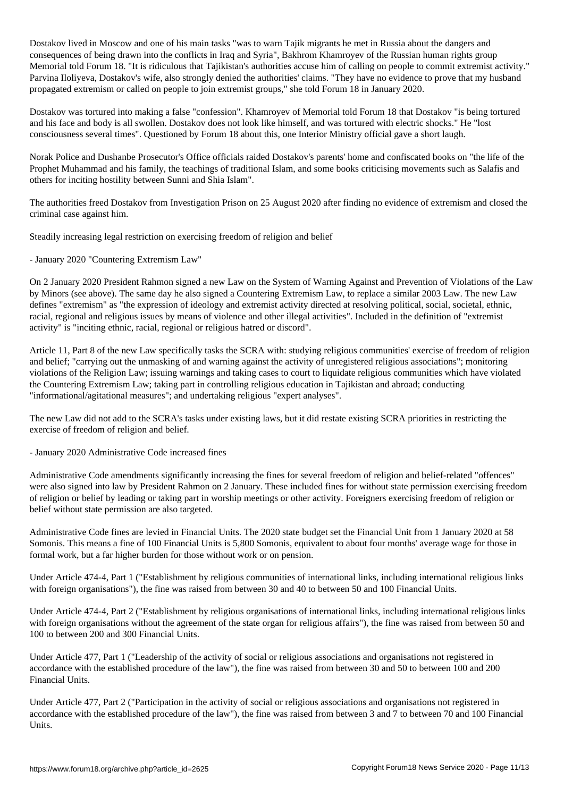Dostakov lived in Moscow and one of his main tasks "was to warn Tajik migrants he met in Russia about the dangers and consequences of being drawn into the conflicts in Iraq and Syria", Bakhrom Khamroyev of the Russian human rights group Memorial told Forum 18. "It is ridiculous that Tajikistan's authorities accuse him of calling on people to commit extremist activity." Parvina Iloliyeva, Dostakov's wife, also strongly denied the authorities' claims. "They have no evidence to prove that my husband propagated extremism or called on people to join extremist groups," she told Forum 18 in January 2020.

Dostakov was tortured into making a false "confession". Khamroyev of Memorial told Forum 18 that Dostakov "is being tortured and his face and body is all swollen. Dostakov does not look like himself, and was tortured with electric shocks." He "lost consciousness several times". Questioned by Forum 18 about this, one Interior Ministry official gave a short laugh.

Norak Police and Dushanbe Prosecutor's Office officials raided Dostakov's parents' home and confiscated books on "the life of the Prophet Muhammad and his family, the teachings of traditional Islam, and some books criticising movements such as Salafis and others for inciting hostility between Sunni and Shia Islam".

The authorities freed Dostakov from Investigation Prison on 25 August 2020 after finding no evidence of extremism and closed the criminal case against him.

Steadily increasing legal restriction on exercising freedom of religion and belief

- January 2020 "Countering Extremism Law"

On 2 January 2020 President Rahmon signed a new Law on the System of Warning Against and Prevention of Violations of the Law by Minors (see above). The same day he also signed a Countering Extremism Law, to replace a similar 2003 Law. The new Law defines "extremism" as "the expression of ideology and extremist activity directed at resolving political, social, societal, ethnic, racial, regional and religious issues by means of violence and other illegal activities". Included in the definition of "extremist activity" is "inciting ethnic, racial, regional or religious hatred or discord".

Article 11, Part 8 of the new Law specifically tasks the SCRA with: studying religious communities' exercise of freedom of religion and belief; "carrying out the unmasking of and warning against the activity of unregistered religious associations"; monitoring violations of the Religion Law; issuing warnings and taking cases to court to liquidate religious communities which have violated the Countering Extremism Law; taking part in controlling religious education in Tajikistan and abroad; conducting "informational/agitational measures"; and undertaking religious "expert analyses".

The new Law did not add to the SCRA's tasks under existing laws, but it did restate existing SCRA priorities in restricting the exercise of freedom of religion and belief.

- January 2020 Administrative Code increased fines

Administrative Code amendments significantly increasing the fines for several freedom of religion and belief-related "offences" were also signed into law by President Rahmon on 2 January. These included fines for without state permission exercising freedom of religion or belief by leading or taking part in worship meetings or other activity. Foreigners exercising freedom of religion or belief without state permission are also targeted.

Administrative Code fines are levied in Financial Units. The 2020 state budget set the Financial Unit from 1 January 2020 at 58 Somonis. This means a fine of 100 Financial Units is 5,800 Somonis, equivalent to about four months' average wage for those in formal work, but a far higher burden for those without work or on pension.

Under Article 474-4, Part 1 ("Establishment by religious communities of international links, including international religious links with foreign organisations"), the fine was raised from between 30 and 40 to between 50 and 100 Financial Units.

Under Article 474-4, Part 2 ("Establishment by religious organisations of international links, including international religious links with foreign organisations without the agreement of the state organ for religious affairs"), the fine was raised from between 50 and 100 to between 200 and 300 Financial Units.

Under Article 477, Part 1 ("Leadership of the activity of social or religious associations and organisations not registered in accordance with the established procedure of the law"), the fine was raised from between 30 and 50 to between 100 and 200 Financial Units.

Under Article 477, Part 2 ("Participation in the activity of social or religious associations and organisations not registered in accordance with the established procedure of the law"), the fine was raised from between 3 and 7 to between 70 and 100 Financial Units.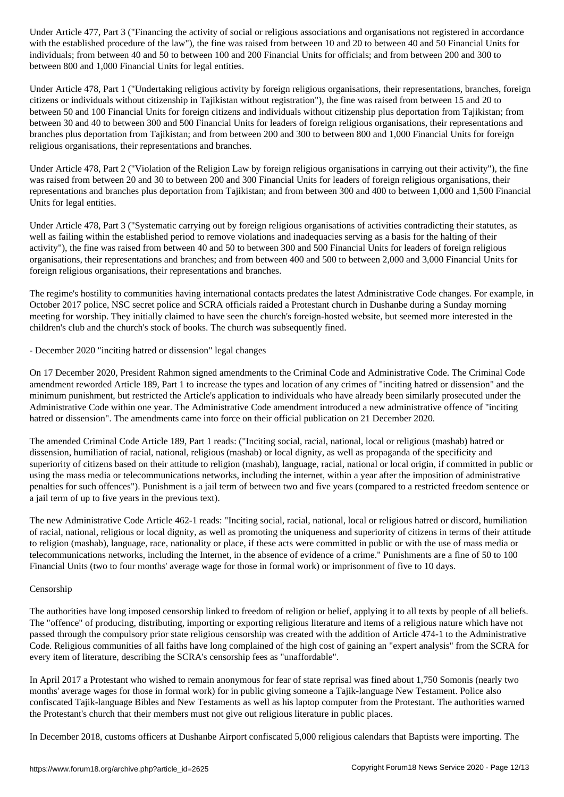when established procedure of the fine was raised from between  $\mu$ individuals; from between 40 and 50 to between 100 and 200 Financial Units for officials; and from between 200 and 300 to between 800 and 1,000 Financial Units for legal entities.

Under Article 478, Part 1 ("Undertaking religious activity by foreign religious organisations, their representations, branches, foreign citizens or individuals without citizenship in Tajikistan without registration"), the fine was raised from between 15 and 20 to between 50 and 100 Financial Units for foreign citizens and individuals without citizenship plus deportation from Tajikistan; from between 30 and 40 to between 300 and 500 Financial Units for leaders of foreign religious organisations, their representations and branches plus deportation from Tajikistan; and from between 200 and 300 to between 800 and 1,000 Financial Units for foreign religious organisations, their representations and branches.

Under Article 478, Part 2 ("Violation of the Religion Law by foreign religious organisations in carrying out their activity"), the fine was raised from between 20 and 30 to between 200 and 300 Financial Units for leaders of foreign religious organisations, their representations and branches plus deportation from Tajikistan; and from between 300 and 400 to between 1,000 and 1,500 Financial Units for legal entities.

Under Article 478, Part 3 ("Systematic carrying out by foreign religious organisations of activities contradicting their statutes, as well as failing within the established period to remove violations and inadequacies serving as a basis for the halting of their activity"), the fine was raised from between 40 and 50 to between 300 and 500 Financial Units for leaders of foreign religious organisations, their representations and branches; and from between 400 and 500 to between 2,000 and 3,000 Financial Units for foreign religious organisations, their representations and branches.

The regime's hostility to communities having international contacts predates the latest Administrative Code changes. For example, in October 2017 police, NSC secret police and SCRA officials raided a Protestant church in Dushanbe during a Sunday morning meeting for worship. They initially claimed to have seen the church's foreign-hosted website, but seemed more interested in the children's club and the church's stock of books. The church was subsequently fined.

- December 2020 "inciting hatred or dissension" legal changes

On 17 December 2020, President Rahmon signed amendments to the Criminal Code and Administrative Code. The Criminal Code amendment reworded Article 189, Part 1 to increase the types and location of any crimes of "inciting hatred or dissension" and the minimum punishment, but restricted the Article's application to individuals who have already been similarly prosecuted under the Administrative Code within one year. The Administrative Code amendment introduced a new administrative offence of "inciting hatred or dissension". The amendments came into force on their official publication on 21 December 2020.

The amended Criminal Code Article 189, Part 1 reads: ("Inciting social, racial, national, local or religious (mashab) hatred or dissension, humiliation of racial, national, religious (mashab) or local dignity, as well as propaganda of the specificity and superiority of citizens based on their attitude to religion (mashab), language, racial, national or local origin, if committed in public or using the mass media or telecommunications networks, including the internet, within a year after the imposition of administrative penalties for such offences"). Punishment is a jail term of between two and five years (compared to a restricted freedom sentence or a jail term of up to five years in the previous text).

The new Administrative Code Article 462-1 reads: "Inciting social, racial, national, local or religious hatred or discord, humiliation of racial, national, religious or local dignity, as well as promoting the uniqueness and superiority of citizens in terms of their attitude to religion (mashab), language, race, nationality or place, if these acts were committed in public or with the use of mass media or telecommunications networks, including the Internet, in the absence of evidence of a crime." Punishments are a fine of 50 to 100 Financial Units (two to four months' average wage for those in formal work) or imprisonment of five to 10 days.

# Censorship

The authorities have long imposed censorship linked to freedom of religion or belief, applying it to all texts by people of all beliefs. The "offence" of producing, distributing, importing or exporting religious literature and items of a religious nature which have not passed through the compulsory prior state religious censorship was created with the addition of Article 474-1 to the Administrative Code. Religious communities of all faiths have long complained of the high cost of gaining an "expert analysis" from the SCRA for every item of literature, describing the SCRA's censorship fees as "unaffordable".

In April 2017 a Protestant who wished to remain anonymous for fear of state reprisal was fined about 1,750 Somonis (nearly two months' average wages for those in formal work) for in public giving someone a Tajik-language New Testament. Police also confiscated Tajik-language Bibles and New Testaments as well as his laptop computer from the Protestant. The authorities warned the Protestant's church that their members must not give out religious literature in public places.

In December 2018, customs officers at Dushanbe Airport confiscated 5,000 religious calendars that Baptists were importing. The